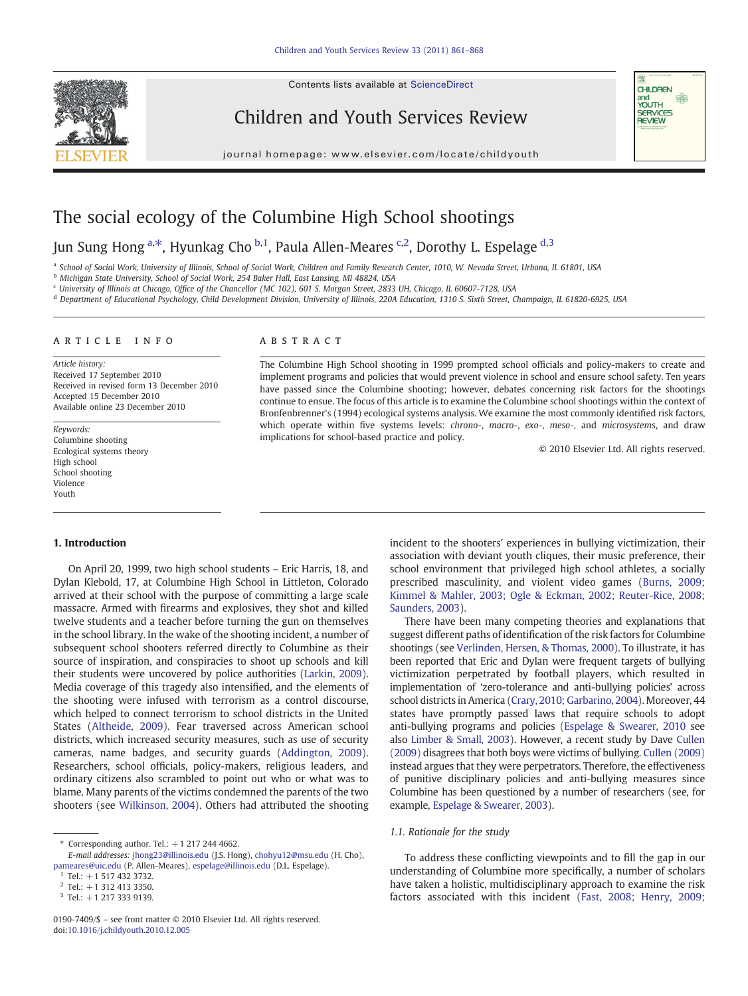Contents lists available at [ScienceDirect](http://www.sciencedirect.com/science/journal/01907409)



Children and Youth Services Review

journal homepage: www.elsevier.com/locate/childyouth



# The social ecology of the Columbine High School shootings

## Jun Sung Hong <sup>[a](#page-0-0),\*</sup>, Hyunkag Cho <sup>[b](#page-0-0),1</sup>, Paula Allen-Meares <sup>[c,](#page-0-0)2</sup>, Dorothy L. Espelage <sup>[d](#page-0-0),3</sup>

a School of Social Work, University of Illinois, School of Social Work, Children and Family Research Center, 1010, W. Nevada Street, Urbana, IL 61801, USA

b Michigan State University, School of Social Work, 254 Baker Hall, East Lansing, MI 48824, USA

<sup>c</sup> University of Illinois at Chicago, Office of the Chancellor (MC 102), 601 S. Morgan Street, 2833 UH, Chicago, IL 60607-7128, USA

<sup>d</sup> Department of Educational Psychology, Child Development Division, University of Illinois, 220A Education, 1310 S. Sixth Street, Champaign, IL 61820-6925, USA

#### article info abstract

Article history: Received 17 September 2010 Received in revised form 13 December 2010 Accepted 15 December 2010 Available online 23 December 2010

Keywords: Columbine shooting Ecological systems theory High school School shooting Violence Youth

The Columbine High School shooting in 1999 prompted school officials and policy-makers to create and implement programs and policies that would prevent violence in school and ensure school safety. Ten years have passed since the Columbine shooting; however, debates concerning risk factors for the shootings continue to ensue. The focus of this article is to examine the Columbine school shootings within the context of Bronfenbrenner's (1994) ecological systems analysis. We examine the most commonly identified risk factors, which operate within five systems levels: chrono-, macro-, exo-, meso-, and microsystems, and draw implications for school-based practice and policy.

© 2010 Elsevier Ltd. All rights reserved.

#### 1. Introduction

On April 20, 1999, two high school students – Eric Harris, 18, and Dylan Klebold, 17, at Columbine High School in Littleton, Colorado arrived at their school with the purpose of committing a large scale massacre. Armed with firearms and explosives, they shot and killed twelve students and a teacher before turning the gun on themselves in the school library. In the wake of the shooting incident, a number of subsequent school shooters referred directly to Columbine as their source of inspiration, and conspiracies to shoot up schools and kill their students were uncovered by police authorities [\(Larkin, 2009](#page-6-0)). Media coverage of this tragedy also intensified, and the elements of the shooting were infused with terrorism as a control discourse, which helped to connect terrorism to school districts in the United States [\(Altheide, 2009\)](#page-6-0). Fear traversed across American school districts, which increased security measures, such as use of security cameras, name badges, and security guards [\(Addington, 2009](#page-5-0)). Researchers, school officials, policy-makers, religious leaders, and ordinary citizens also scrambled to point out who or what was to blame. Many parents of the victims condemned the parents of the two shooters (see [Wilkinson, 2004](#page-7-0)). Others had attributed the shooting incident to the shooters' experiences in bullying victimization, their association with deviant youth cliques, their music preference, their school environment that privileged high school athletes, a socially prescribed masculinity, and violent video games ([Burns, 2009;](#page-6-0) [Kimmel & Mahler, 2003; Ogle & Eckman, 2002; Reuter-Rice, 2008;](#page-6-0) [Saunders, 2003](#page-6-0)).

There have been many competing theories and explanations that suggest different paths of identification of the risk factors for Columbine shootings (see [Verlinden, Hersen, & Thomas, 2000\)](#page-7-0). To illustrate, it has been reported that Eric and Dylan were frequent targets of bullying victimization perpetrated by football players, which resulted in implementation of 'zero-tolerance and anti-bullying policies' across school districts in America [\(Crary, 2010; Garbarino, 2004](#page-6-0)). Moreover, 44 states have promptly passed laws that require schools to adopt anti-bullying programs and policies [\(Espelage & Swearer, 2010](#page-6-0) see also [Limber & Small, 2003](#page-6-0)). However, a recent study by Dave [Cullen](#page-6-0) [\(2009\)](#page-6-0) disagrees that both boys were victims of bullying. [Cullen \(2009\)](#page-6-0) instead argues that they were perpetrators. Therefore, the effectiveness of punitive disciplinary policies and anti-bullying measures since Columbine has been questioned by a number of researchers (see, for example, [Espelage & Swearer, 2003](#page-6-0)).

### 1.1. Rationale for the study

To address these conflicting viewpoints and to fill the gap in our understanding of Columbine more specifically, a number of scholars have taken a holistic, multidisciplinary approach to examine the risk factors associated with this incident ([Fast, 2008; Henry, 2009;](#page-6-0)

Corresponding author. Tel.:  $+1$  217 244 4662.

E-mail addresses: [jhong23@illinois.edu](mailto:jhong23@illinois.edu) (J.S. Hong), [chohyu12@msu.edu](mailto:chohyu12@msu.edu) (H. Cho), [pameares@uic.edu](mailto:pameares@uic.edu) (P. Allen-Meares), [espelage@illinois.edu](mailto:espelage@illinois.edu) (D.L. Espelage).

 $1$  Tel.: +1 517 432 3732.

 $2$  Tel.: +1 312 413 3350.

 $3$  Tel.: +1 217 333 9139.

<span id="page-0-0"></span><sup>0190-7409/\$</sup> – see front matter © 2010 Elsevier Ltd. All rights reserved. doi:[10.1016/j.childyouth.2010.12.005](http://dx.doi.org/10.1016/j.childyouth.2010.12.005)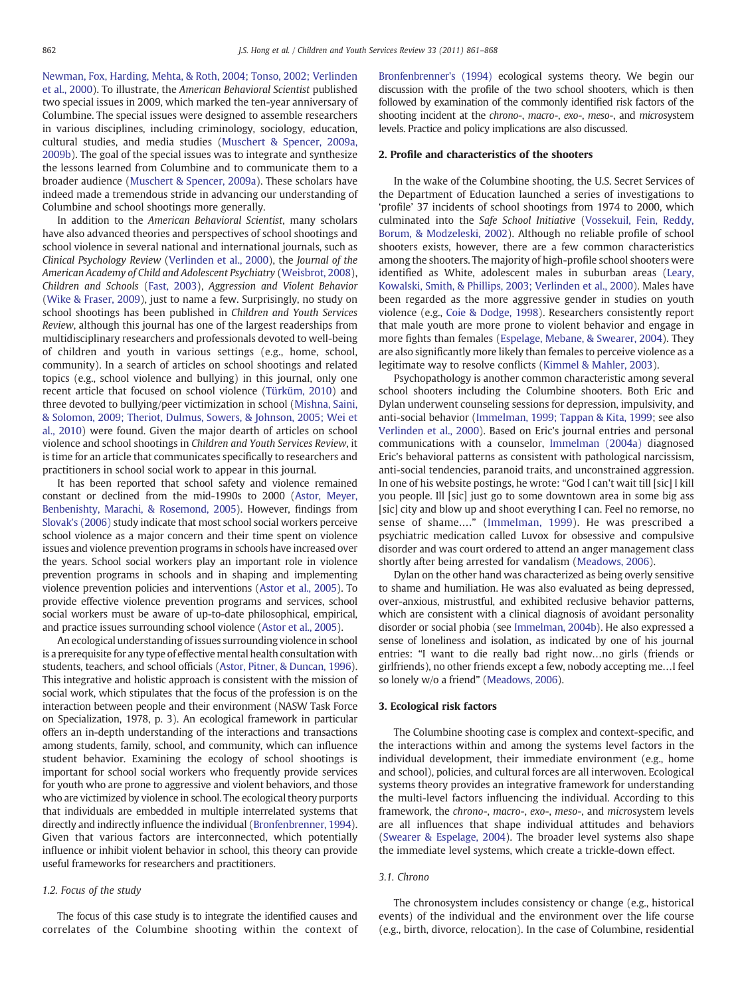[Newman, Fox, Harding, Mehta, & Roth, 2004; Tonso, 2002; Verlinden](#page-6-0) [et al., 2000\)](#page-6-0). To illustrate, the American Behavioral Scientist published two special issues in 2009, which marked the ten-year anniversary of Columbine. The special issues were designed to assemble researchers in various disciplines, including criminology, sociology, education, cultural studies, and media studies ([Muschert & Spencer, 2009a,](#page-7-0) [2009b\)](#page-7-0). The goal of the special issues was to integrate and synthesize the lessons learned from Columbine and to communicate them to a broader audience [\(Muschert & Spencer, 2009a\)](#page-7-0). These scholars have indeed made a tremendous stride in advancing our understanding of Columbine and school shootings more generally.

In addition to the American Behavioral Scientist, many scholars have also advanced theories and perspectives of school shootings and school violence in several national and international journals, such as Clinical Psychology Review ([Verlinden et al., 2000\)](#page-7-0), the Journal of the American Academy of Child and Adolescent Psychiatry [\(Weisbrot, 2008](#page-7-0)), Children and Schools [\(Fast, 2003\)](#page-6-0), Aggression and Violent Behavior [\(Wike & Fraser, 2009\)](#page-7-0), just to name a few. Surprisingly, no study on school shootings has been published in Children and Youth Services Review, although this journal has one of the largest readerships from multidisciplinary researchers and professionals devoted to well-being of children and youth in various settings (e.g., home, school, community). In a search of articles on school shootings and related topics (e.g., school violence and bullying) in this journal, only one recent article that focused on school violence ([Türküm, 2010](#page-7-0)) and three devoted to bullying/peer victimization in school ([Mishna, Saini,](#page-7-0) [& Solomon, 2009; Theriot, Dulmus, Sowers, & Johnson, 2005; Wei et](#page-7-0) [al., 2010](#page-7-0)) were found. Given the major dearth of articles on school violence and school shootings in Children and Youth Services Review, it is time for an article that communicates specifically to researchers and practitioners in school social work to appear in this journal.

It has been reported that school safety and violence remained constant or declined from the mid-1990s to 2000 [\(Astor, Meyer,](#page-6-0) [Benbenishty, Marachi, & Rosemond, 2005](#page-6-0)). However, findings from [Slovak's \(2006\)](#page-7-0) study indicate that most school social workers perceive school violence as a major concern and their time spent on violence issues and violence prevention programs in schools have increased over the years. School social workers play an important role in violence prevention programs in schools and in shaping and implementing violence prevention policies and interventions ([Astor et al., 2005](#page-6-0)). To provide effective violence prevention programs and services, school social workers must be aware of up-to-date philosophical, empirical, and practice issues surrounding school violence ([Astor et al., 2005](#page-6-0)).

An ecological understanding of issues surrounding violence in school is a prerequisite for any type of effective mental health consultation with students, teachers, and school officials [\(Astor, Pitner, & Duncan, 1996\)](#page-6-0). This integrative and holistic approach is consistent with the mission of social work, which stipulates that the focus of the profession is on the interaction between people and their environment (NASW Task Force on Specialization, 1978, p. 3). An ecological framework in particular offers an in-depth understanding of the interactions and transactions among students, family, school, and community, which can influence student behavior. Examining the ecology of school shootings is important for school social workers who frequently provide services for youth who are prone to aggressive and violent behaviors, and those who are victimized by violence in school. The ecological theory purports that individuals are embedded in multiple interrelated systems that directly and indirectly influence the individual ([Bronfenbrenner, 1994\)](#page-6-0). Given that various factors are interconnected, which potentially influence or inhibit violent behavior in school, this theory can provide useful frameworks for researchers and practitioners.

#### 1.2. Focus of the study

The focus of this case study is to integrate the identified causes and correlates of the Columbine shooting within the context of [Bronfenbrenner's \(1994\)](#page-6-0) ecological systems theory. We begin our discussion with the profile of the two school shooters, which is then followed by examination of the commonly identified risk factors of the shooting incident at the chrono-, macro-, exo-, meso-, and microsystem levels. Practice and policy implications are also discussed.

#### 2. Profile and characteristics of the shooters

In the wake of the Columbine shooting, the U.S. Secret Services of the Department of Education launched a series of investigations to 'profile' 37 incidents of school shootings from 1974 to 2000, which culminated into the Safe School Initiative [\(Vossekuil, Fein, Reddy,](#page-7-0) [Borum, & Modzeleski, 2002](#page-7-0)). Although no reliable profile of school shooters exists, however, there are a few common characteristics among the shooters. The majority of high-profile school shooters were identified as White, adolescent males in suburban areas [\(Leary,](#page-6-0) [Kowalski, Smith, & Phillips, 2003; Verlinden et al., 2000](#page-6-0)). Males have been regarded as the more aggressive gender in studies on youth violence (e.g., [Coie & Dodge, 1998\)](#page-6-0). Researchers consistently report that male youth are more prone to violent behavior and engage in more fights than females ([Espelage, Mebane, & Swearer, 2004](#page-6-0)). They are also significantly more likely than females to perceive violence as a legitimate way to resolve conflicts ([Kimmel & Mahler, 2003\)](#page-6-0).

Psychopathology is another common characteristic among several school shooters including the Columbine shooters. Both Eric and Dylan underwent counseling sessions for depression, impulsivity, and anti-social behavior [\(Immelman, 1999; Tappan & Kita, 1999](#page-6-0); see also [Verlinden et al., 2000\)](#page-7-0). Based on Eric's journal entries and personal communications with a counselor, [Immelman \(2004a\)](#page-6-0) diagnosed Eric's behavioral patterns as consistent with pathological narcissism, anti-social tendencies, paranoid traits, and unconstrained aggression. In one of his website postings, he wrote: "God I can't wait till [sic] I kill you people. Ill [sic] just go to some downtown area in some big ass [sic] city and blow up and shoot everything I can. Feel no remorse, no sense of shame…." [\(Immelman, 1999](#page-6-0)). He was prescribed a psychiatric medication called Luvox for obsessive and compulsive disorder and was court ordered to attend an anger management class shortly after being arrested for vandalism ([Meadows, 2006](#page-7-0)).

Dylan on the other hand was characterized as being overly sensitive to shame and humiliation. He was also evaluated as being depressed, over-anxious, mistrustful, and exhibited reclusive behavior patterns, which are consistent with a clinical diagnosis of avoidant personality disorder or social phobia (see [Immelman, 2004b\)](#page-6-0). He also expressed a sense of loneliness and isolation, as indicated by one of his journal entries: "I want to die really bad right now…no girls (friends or girlfriends), no other friends except a few, nobody accepting me…I feel so lonely w/o a friend" ([Meadows, 2006](#page-7-0)).

#### 3. Ecological risk factors

The Columbine shooting case is complex and context-specific, and the interactions within and among the systems level factors in the individual development, their immediate environment (e.g., home and school), policies, and cultural forces are all interwoven. Ecological systems theory provides an integrative framework for understanding the multi-level factors influencing the individual. According to this framework, the chrono-, macro-, exo-, meso-, and microsystem levels are all influences that shape individual attitudes and behaviors [\(Swearer & Espelage, 2004\)](#page-7-0). The broader level systems also shape the immediate level systems, which create a trickle-down effect.

#### 3.1. Chrono

The chronosystem includes consistency or change (e.g., historical events) of the individual and the environment over the life course (e.g., birth, divorce, relocation). In the case of Columbine, residential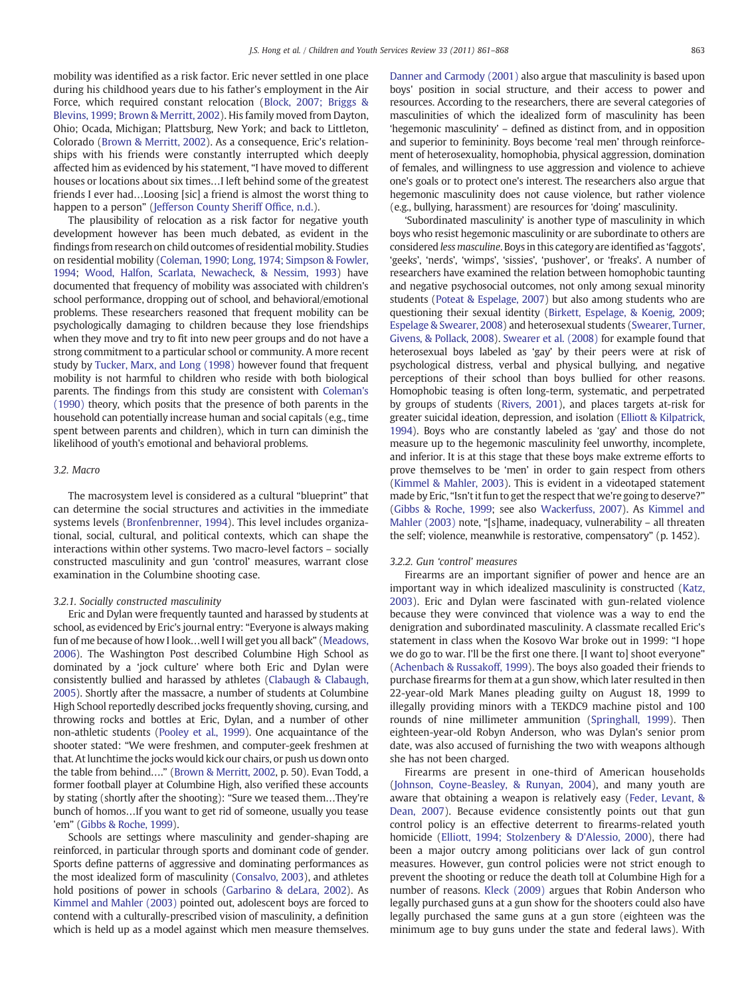mobility was identified as a risk factor. Eric never settled in one place during his childhood years due to his father's employment in the Air Force, which required constant relocation [\(Block, 2007; Briggs &](#page-6-0) [Blevins, 1999; Brown & Merritt, 2002](#page-6-0)). His family moved from Dayton, Ohio; Ocada, Michigan; Plattsburg, New York; and back to Littleton, Colorado [\(Brown & Merritt, 2002](#page-6-0)). As a consequence, Eric's relationships with his friends were constantly interrupted which deeply affected him as evidenced by his statement, "I have moved to different houses or locations about six times…I left behind some of the greatest friends I ever had…Loosing [sic] a friend is almost the worst thing to happen to a person" ([Jefferson County Sheriff Of](#page-6-0)fice, n.d.).

The plausibility of relocation as a risk factor for negative youth development however has been much debated, as evident in the findings from research on child outcomes of residential mobility. Studies on residential mobility ([Coleman, 1990; Long, 1974; Simpson & Fowler,](#page-6-0) [1994](#page-6-0); [Wood, Halfon, Scarlata, Newacheck, & Nessim, 1993](#page-7-0)) have documented that frequency of mobility was associated with children's school performance, dropping out of school, and behavioral/emotional problems. These researchers reasoned that frequent mobility can be psychologically damaging to children because they lose friendships when they move and try to fit into new peer groups and do not have a strong commitment to a particular school or community. A more recent study by [Tucker, Marx, and Long \(1998\)](#page-7-0) however found that frequent mobility is not harmful to children who reside with both biological parents. The findings from this study are consistent with [Coleman's](#page-6-0) [\(1990\)](#page-6-0) theory, which posits that the presence of both parents in the household can potentially increase human and social capitals (e.g., time spent between parents and children), which in turn can diminish the likelihood of youth's emotional and behavioral problems.

#### 3.2. Macro

The macrosystem level is considered as a cultural "blueprint" that can determine the social structures and activities in the immediate systems levels ([Bronfenbrenner, 1994](#page-6-0)). This level includes organizational, social, cultural, and political contexts, which can shape the interactions within other systems. Two macro-level factors – socially constructed masculinity and gun 'control' measures, warrant close examination in the Columbine shooting case.

#### 3.2.1. Socially constructed masculinity

Eric and Dylan were frequently taunted and harassed by students at school, as evidenced by Eric's journal entry: "Everyone is always making fun of me because of how I look…well I will get you all back" [\(Meadows,](#page-7-0) [2006](#page-7-0)). The Washington Post described Columbine High School as dominated by a 'jock culture' where both Eric and Dylan were consistently bullied and harassed by athletes [\(Clabaugh & Clabaugh,](#page-6-0) [2005](#page-6-0)). Shortly after the massacre, a number of students at Columbine High School reportedly described jocks frequently shoving, cursing, and throwing rocks and bottles at Eric, Dylan, and a number of other non-athletic students ([Pooley et al., 1999](#page-7-0)). One acquaintance of the shooter stated: "We were freshmen, and computer-geek freshmen at that. At lunchtime the jocks would kick our chairs, or push us down onto the table from behind…." ([Brown & Merritt, 2002](#page-6-0), p. 50). Evan Todd, a former football player at Columbine High, also verified these accounts by stating (shortly after the shooting): "Sure we teased them…They're bunch of homos…If you want to get rid of someone, usually you tease 'em" [\(Gibbs & Roche, 1999](#page-6-0)).

Schools are settings where masculinity and gender-shaping are reinforced, in particular through sports and dominant code of gender. Sports define patterns of aggressive and dominating performances as the most idealized form of masculinity ([Consalvo, 2003\)](#page-6-0), and athletes hold positions of power in schools [\(Garbarino & deLara, 2002\)](#page-6-0). As [Kimmel and Mahler \(2003\)](#page-6-0) pointed out, adolescent boys are forced to contend with a culturally-prescribed vision of masculinity, a definition which is held up as a model against which men measure themselves. [Danner and Carmody \(2001\)](#page-6-0) also argue that masculinity is based upon boys' position in social structure, and their access to power and resources. According to the researchers, there are several categories of masculinities of which the idealized form of masculinity has been 'hegemonic masculinity' – defined as distinct from, and in opposition and superior to femininity. Boys become 'real men' through reinforcement of heterosexuality, homophobia, physical aggression, domination of females, and willingness to use aggression and violence to achieve one's goals or to protect one's interest. The researchers also argue that hegemonic masculinity does not cause violence, but rather violence (e.g., bullying, harassment) are resources for 'doing' masculinity.

'Subordinated masculinity' is another type of masculinity in which boys who resist hegemonic masculinity or are subordinate to others are considered less masculine. Boys in this category are identified as 'faggots', 'geeks', 'nerds', 'wimps', 'sissies', 'pushover', or 'freaks'. A number of researchers have examined the relation between homophobic taunting and negative psychosocial outcomes, not only among sexual minority students [\(Poteat & Espelage, 2007\)](#page-7-0) but also among students who are questioning their sexual identity [\(Birkett, Espelage, & Koenig, 2009;](#page-6-0) [Espelage & Swearer, 2008](#page-6-0)) and heterosexual students [\(Swearer, Turner,](#page-7-0) [Givens, & Pollack, 2008](#page-7-0)). [Swearer et al. \(2008\)](#page-7-0) for example found that heterosexual boys labeled as 'gay' by their peers were at risk of psychological distress, verbal and physical bullying, and negative perceptions of their school than boys bullied for other reasons. Homophobic teasing is often long-term, systematic, and perpetrated by groups of students ([Rivers, 2001\)](#page-7-0), and places targets at-risk for greater suicidal ideation, depression, and isolation ([Elliott & Kilpatrick,](#page-6-0) [1994](#page-6-0)). Boys who are constantly labeled as 'gay' and those do not measure up to the hegemonic masculinity feel unworthy, incomplete, and inferior. It is at this stage that these boys make extreme efforts to prove themselves to be 'men' in order to gain respect from others [\(Kimmel & Mahler, 2003](#page-6-0)). This is evident in a videotaped statement made by Eric, "Isn't it fun to get the respect that we're going to deserve?" [\(Gibbs & Roche, 1999;](#page-6-0) see also [Wackerfuss, 2007](#page-7-0)). As [Kimmel and](#page-6-0) [Mahler \(2003\)](#page-6-0) note, "[s]hame, inadequacy, vulnerability – all threaten the self; violence, meanwhile is restorative, compensatory" (p. 1452).

#### 3.2.2. Gun 'control' measures

Firearms are an important signifier of power and hence are an important way in which idealized masculinity is constructed ([Katz,](#page-6-0) [2003\)](#page-6-0). Eric and Dylan were fascinated with gun-related violence because they were convinced that violence was a way to end the denigration and subordinated masculinity. A classmate recalled Eric's statement in class when the Kosovo War broke out in 1999: "I hope we do go to war. I'll be the first one there. [I want to] shoot everyone" [\(Achenbach & Russakoff, 1999](#page-5-0)). The boys also goaded their friends to purchase firearms for them at a gun show, which later resulted in then 22-year-old Mark Manes pleading guilty on August 18, 1999 to illegally providing minors with a TEKDC9 machine pistol and 100 rounds of nine millimeter ammunition ([Springhall, 1999](#page-7-0)). Then eighteen-year-old Robyn Anderson, who was Dylan's senior prom date, was also accused of furnishing the two with weapons although she has not been charged.

Firearms are present in one-third of American households [\(Johnson, Coyne-Beasley, & Runyan, 2004](#page-6-0)), and many youth are aware that obtaining a weapon is relatively easy [\(Feder, Levant, &](#page-6-0) [Dean, 2007](#page-6-0)). Because evidence consistently points out that gun control policy is an effective deterrent to firearms-related youth homicide ([Elliott, 1994; Stolzenbery & D'Alessio, 2000\)](#page-6-0), there had been a major outcry among politicians over lack of gun control measures. However, gun control policies were not strict enough to prevent the shooting or reduce the death toll at Columbine High for a number of reasons. [Kleck \(2009\)](#page-6-0) argues that Robin Anderson who legally purchased guns at a gun show for the shooters could also have legally purchased the same guns at a gun store (eighteen was the minimum age to buy guns under the state and federal laws). With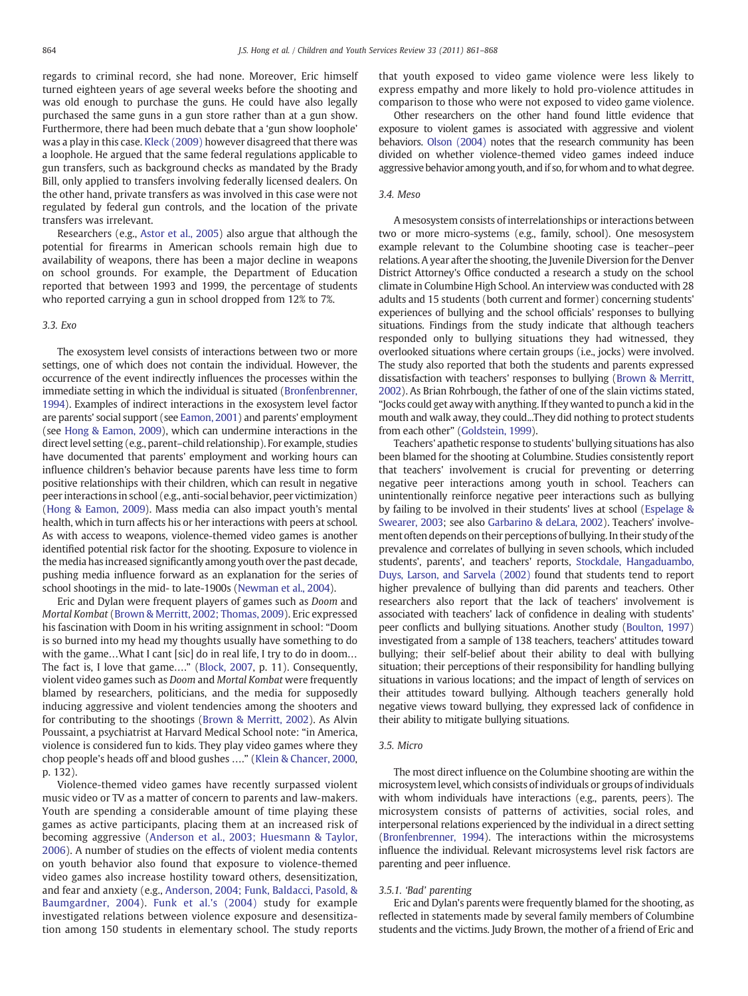regards to criminal record, she had none. Moreover, Eric himself turned eighteen years of age several weeks before the shooting and was old enough to purchase the guns. He could have also legally purchased the same guns in a gun store rather than at a gun show. Furthermore, there had been much debate that a 'gun show loophole' was a play in this case. [Kleck \(2009\)](#page-6-0) however disagreed that there was a loophole. He argued that the same federal regulations applicable to gun transfers, such as background checks as mandated by the Brady Bill, only applied to transfers involving federally licensed dealers. On the other hand, private transfers as was involved in this case were not regulated by federal gun controls, and the location of the private transfers was irrelevant.

Researchers (e.g., [Astor et al., 2005](#page-6-0)) also argue that although the potential for firearms in American schools remain high due to availability of weapons, there has been a major decline in weapons on school grounds. For example, the Department of Education reported that between 1993 and 1999, the percentage of students who reported carrying a gun in school dropped from 12% to 7%.

#### 3.3. Exo

The exosystem level consists of interactions between two or more settings, one of which does not contain the individual. However, the occurrence of the event indirectly influences the processes within the immediate setting in which the individual is situated ([Bronfenbrenner,](#page-6-0) [1994\)](#page-6-0). Examples of indirect interactions in the exosystem level factor are parents' social support (see [Eamon, 2001](#page-6-0)) and parents' employment (see [Hong & Eamon, 2009\)](#page-6-0), which can undermine interactions in the direct level setting (e.g., parent–child relationship). For example, studies have documented that parents' employment and working hours can influence children's behavior because parents have less time to form positive relationships with their children, which can result in negative peer interactions in school (e.g., anti-social behavior, peer victimization) [\(Hong & Eamon, 2009](#page-6-0)). Mass media can also impact youth's mental health, which in turn affects his or her interactions with peers at school. As with access to weapons, violence-themed video games is another identified potential risk factor for the shooting. Exposure to violence in the media has increased significantly among youth over the past decade, pushing media influence forward as an explanation for the series of school shootings in the mid- to late-1900s ([Newman et al., 2004\)](#page-7-0).

Eric and Dylan were frequent players of games such as Doom and Mortal Kombat [\(Brown & Merritt, 2002; Thomas, 2009](#page-6-0)). Eric expressed his fascination with Doom in his writing assignment in school: "Doom is so burned into my head my thoughts usually have something to do with the game…What I cant [sic] do in real life, I try to do in doom… The fact is, I love that game…." ([Block, 2007](#page-6-0), p. 11). Consequently, violent video games such as Doom and Mortal Kombat were frequently blamed by researchers, politicians, and the media for supposedly inducing aggressive and violent tendencies among the shooters and for contributing to the shootings ([Brown & Merritt, 2002\)](#page-6-0). As Alvin Poussaint, a psychiatrist at Harvard Medical School note: "in America, violence is considered fun to kids. They play video games where they chop people's heads off and blood gushes …." [\(Klein & Chancer, 2000,](#page-6-0) p. 132).

Violence-themed video games have recently surpassed violent music video or TV as a matter of concern to parents and law-makers. Youth are spending a considerable amount of time playing these games as active participants, placing them at an increased risk of becoming aggressive [\(Anderson et al., 2003; Huesmann & Taylor,](#page-6-0) [2006](#page-6-0)). A number of studies on the effects of violent media contents on youth behavior also found that exposure to violence-themed video games also increase hostility toward others, desensitization, and fear and anxiety (e.g., [Anderson, 2004; Funk, Baldacci, Pasold, &](#page-6-0) [Baumgardner, 2004](#page-6-0)). [Funk et al.'s \(2004\)](#page-6-0) study for example investigated relations between violence exposure and desensitization among 150 students in elementary school. The study reports

that youth exposed to video game violence were less likely to express empathy and more likely to hold pro-violence attitudes in comparison to those who were not exposed to video game violence.

Other researchers on the other hand found little evidence that exposure to violent games is associated with aggressive and violent behaviors. [Olson \(2004\)](#page-7-0) notes that the research community has been divided on whether violence-themed video games indeed induce aggressive behavior among youth, and if so, for whom and to what degree.

#### 3.4. Meso

A mesosystem consists of interrelationships or interactions between two or more micro-systems (e.g., family, school). One mesosystem example relevant to the Columbine shooting case is teacher–peer relations. A year after the shooting, the Juvenile Diversion for the Denver District Attorney's Office conducted a research a study on the school climate in Columbine High School. An interview was conducted with 28 adults and 15 students (both current and former) concerning students' experiences of bullying and the school officials' responses to bullying situations. Findings from the study indicate that although teachers responded only to bullying situations they had witnessed, they overlooked situations where certain groups (i.e., jocks) were involved. The study also reported that both the students and parents expressed dissatisfaction with teachers' responses to bullying [\(Brown & Merritt,](#page-6-0) [2002\)](#page-6-0). As Brian Rohrbough, the father of one of the slain victims stated, "Jocks could get away with anything. If they wanted to punch a kid in the mouth and walk away, they could...They did nothing to protect students from each other" ([Goldstein, 1999](#page-6-0)).

Teachers' apathetic response to students' bullying situations has also been blamed for the shooting at Columbine. Studies consistently report that teachers' involvement is crucial for preventing or deterring negative peer interactions among youth in school. Teachers can unintentionally reinforce negative peer interactions such as bullying by failing to be involved in their students' lives at school ([Espelage &](#page-6-0) [Swearer, 2003;](#page-6-0) see also [Garbarino & deLara, 2002](#page-6-0)). Teachers' involvement often depends on their perceptions of bullying. In their study of the prevalence and correlates of bullying in seven schools, which included students', parents', and teachers' reports, [Stockdale, Hangaduambo,](#page-7-0) [Duys, Larson, and Sarvela \(2002\)](#page-7-0) found that students tend to report higher prevalence of bullying than did parents and teachers. Other researchers also report that the lack of teachers' involvement is associated with teachers' lack of confidence in dealing with students' peer conflicts and bullying situations. Another study ([Boulton, 1997](#page-6-0)) investigated from a sample of 138 teachers, teachers' attitudes toward bullying; their self-belief about their ability to deal with bullying situation; their perceptions of their responsibility for handling bullying situations in various locations; and the impact of length of services on their attitudes toward bullying. Although teachers generally hold negative views toward bullying, they expressed lack of confidence in their ability to mitigate bullying situations.

#### 3.5. Micro

The most direct influence on the Columbine shooting are within the microsystem level, which consists of individuals or groups of individuals with whom individuals have interactions (e.g., parents, peers). The microsystem consists of patterns of activities, social roles, and interpersonal relations experienced by the individual in a direct setting [\(Bronfenbrenner, 1994\)](#page-6-0). The interactions within the microsystems influence the individual. Relevant microsystems level risk factors are parenting and peer influence.

#### 3.5.1. 'Bad' parenting

Eric and Dylan's parents were frequently blamed for the shooting, as reflected in statements made by several family members of Columbine students and the victims. Judy Brown, the mother of a friend of Eric and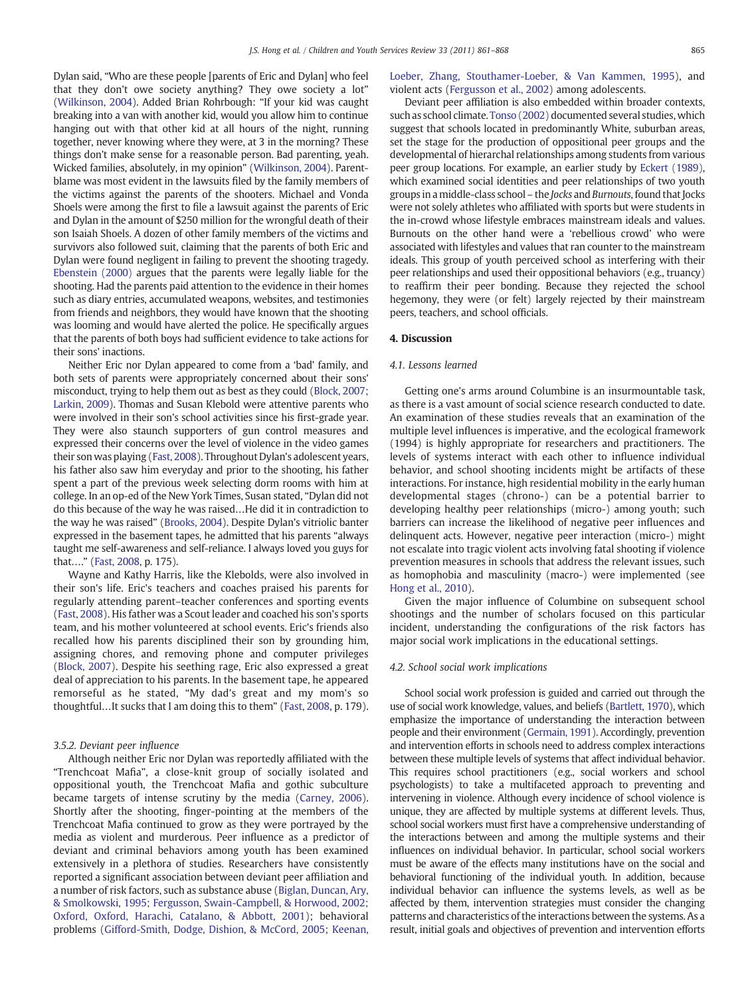Dylan said, "Who are these people [parents of Eric and Dylan] who feel that they don't owe society anything? They owe society a lot" [\(Wilkinson, 2004](#page-7-0)). Added Brian Rohrbough: "If your kid was caught breaking into a van with another kid, would you allow him to continue hanging out with that other kid at all hours of the night, running together, never knowing where they were, at 3 in the morning? These things don't make sense for a reasonable person. Bad parenting, yeah. Wicked families, absolutely, in my opinion" [\(Wilkinson, 2004](#page-7-0)). Parentblame was most evident in the lawsuits filed by the family members of the victims against the parents of the shooters. Michael and Vonda Shoels were among the first to file a lawsuit against the parents of Eric and Dylan in the amount of \$250 million for the wrongful death of their son Isaiah Shoels. A dozen of other family members of the victims and survivors also followed suit, claiming that the parents of both Eric and Dylan were found negligent in failing to prevent the shooting tragedy. [Ebenstein \(2000\)](#page-6-0) argues that the parents were legally liable for the shooting. Had the parents paid attention to the evidence in their homes such as diary entries, accumulated weapons, websites, and testimonies from friends and neighbors, they would have known that the shooting was looming and would have alerted the police. He specifically argues that the parents of both boys had sufficient evidence to take actions for their sons' inactions.

Neither Eric nor Dylan appeared to come from a 'bad' family, and both sets of parents were appropriately concerned about their sons' misconduct, trying to help them out as best as they could [\(Block, 2007;](#page-6-0) [Larkin, 2009\)](#page-6-0). Thomas and Susan Klebold were attentive parents who were involved in their son's school activities since his first-grade year. They were also staunch supporters of gun control measures and expressed their concerns over the level of violence in the video games their son was playing [\(Fast, 2008\)](#page-6-0). Throughout Dylan's adolescent years, his father also saw him everyday and prior to the shooting, his father spent a part of the previous week selecting dorm rooms with him at college. In an op-ed of the New York Times, Susan stated, "Dylan did not do this because of the way he was raised…He did it in contradiction to the way he was raised" [\(Brooks, 2004\)](#page-6-0). Despite Dylan's vitriolic banter expressed in the basement tapes, he admitted that his parents "always taught me self-awareness and self-reliance. I always loved you guys for that…." [\(Fast, 2008](#page-6-0), p. 175).

Wayne and Kathy Harris, like the Klebolds, were also involved in their son's life. Eric's teachers and coaches praised his parents for regularly attending parent–teacher conferences and sporting events [\(Fast, 2008](#page-6-0)). His father was a Scout leader and coached his son's sports team, and his mother volunteered at school events. Eric's friends also recalled how his parents disciplined their son by grounding him, assigning chores, and removing phone and computer privileges [\(Block, 2007\)](#page-6-0). Despite his seething rage, Eric also expressed a great deal of appreciation to his parents. In the basement tape, he appeared remorseful as he stated, "My dad's great and my mom's so thoughtful…It sucks that I am doing this to them" [\(Fast, 2008,](#page-6-0) p. 179).

#### 3.5.2. Deviant peer influence

Although neither Eric nor Dylan was reportedly affiliated with the "Trenchcoat Mafia", a close-knit group of socially isolated and oppositional youth, the Trenchcoat Mafia and gothic subculture became targets of intense scrutiny by the media ([Carney, 2006](#page-6-0)). Shortly after the shooting, finger-pointing at the members of the Trenchcoat Mafia continued to grow as they were portrayed by the media as violent and murderous. Peer influence as a predictor of deviant and criminal behaviors among youth has been examined extensively in a plethora of studies. Researchers have consistently reported a significant association between deviant peer affiliation and a number of risk factors, such as substance abuse ([Biglan, Duncan, Ary,](#page-6-0) [& Smolkowski, 1995; Fergusson, Swain-Campbell, & Horwood, 2002;](#page-6-0) [Oxford, Oxford, Harachi, Catalano, & Abbott, 2001](#page-6-0)); behavioral problems [\(Gifford-Smith, Dodge, Dishion, & McCord, 2005; Keenan,](#page-6-0)

[Loeber, Zhang, Stouthamer-Loeber, & Van Kammen, 1995](#page-6-0)), and violent acts [\(Fergusson et al., 2002](#page-6-0)) among adolescents.

Deviant peer affiliation is also embedded within broader contexts, such as school climate. [Tonso \(2002\)](#page-7-0) documented several studies, which suggest that schools located in predominantly White, suburban areas, set the stage for the production of oppositional peer groups and the developmental of hierarchal relationships among students from various peer group locations. For example, an earlier study by [Eckert \(1989\),](#page-6-0) which examined social identities and peer relationships of two youth groups in a middle-class school – the Jocks and Burnouts, found that Jocks were not solely athletes who affiliated with sports but were students in the in-crowd whose lifestyle embraces mainstream ideals and values. Burnouts on the other hand were a 'rebellious crowd' who were associated with lifestyles and values that ran counter to the mainstream ideals. This group of youth perceived school as interfering with their peer relationships and used their oppositional behaviors (e.g., truancy) to reaffirm their peer bonding. Because they rejected the school hegemony, they were (or felt) largely rejected by their mainstream peers, teachers, and school officials.

#### 4. Discussion

#### 4.1. Lessons learned

Getting one's arms around Columbine is an insurmountable task, as there is a vast amount of social science research conducted to date. An examination of these studies reveals that an examination of the multiple level influences is imperative, and the ecological framework (1994) is highly appropriate for researchers and practitioners. The levels of systems interact with each other to influence individual behavior, and school shooting incidents might be artifacts of these interactions. For instance, high residential mobility in the early human developmental stages (chrono-) can be a potential barrier to developing healthy peer relationships (micro-) among youth; such barriers can increase the likelihood of negative peer influences and delinquent acts. However, negative peer interaction (micro-) might not escalate into tragic violent acts involving fatal shooting if violence prevention measures in schools that address the relevant issues, such as homophobia and masculinity (macro-) were implemented (see [Hong et al., 2010](#page-6-0)).

Given the major influence of Columbine on subsequent school shootings and the number of scholars focused on this particular incident, understanding the configurations of the risk factors has major social work implications in the educational settings.

#### 4.2. School social work implications

School social work profession is guided and carried out through the use of social work knowledge, values, and beliefs ([Bartlett, 1970\)](#page-6-0), which emphasize the importance of understanding the interaction between people and their environment [\(Germain, 1991](#page-6-0)). Accordingly, prevention and intervention efforts in schools need to address complex interactions between these multiple levels of systems that affect individual behavior. This requires school practitioners (e.g., social workers and school psychologists) to take a multifaceted approach to preventing and intervening in violence. Although every incidence of school violence is unique, they are affected by multiple systems at different levels. Thus, school social workers must first have a comprehensive understanding of the interactions between and among the multiple systems and their influences on individual behavior. In particular, school social workers must be aware of the effects many institutions have on the social and behavioral functioning of the individual youth. In addition, because individual behavior can influence the systems levels, as well as be affected by them, intervention strategies must consider the changing patterns and characteristics of the interactions between the systems. As a result, initial goals and objectives of prevention and intervention efforts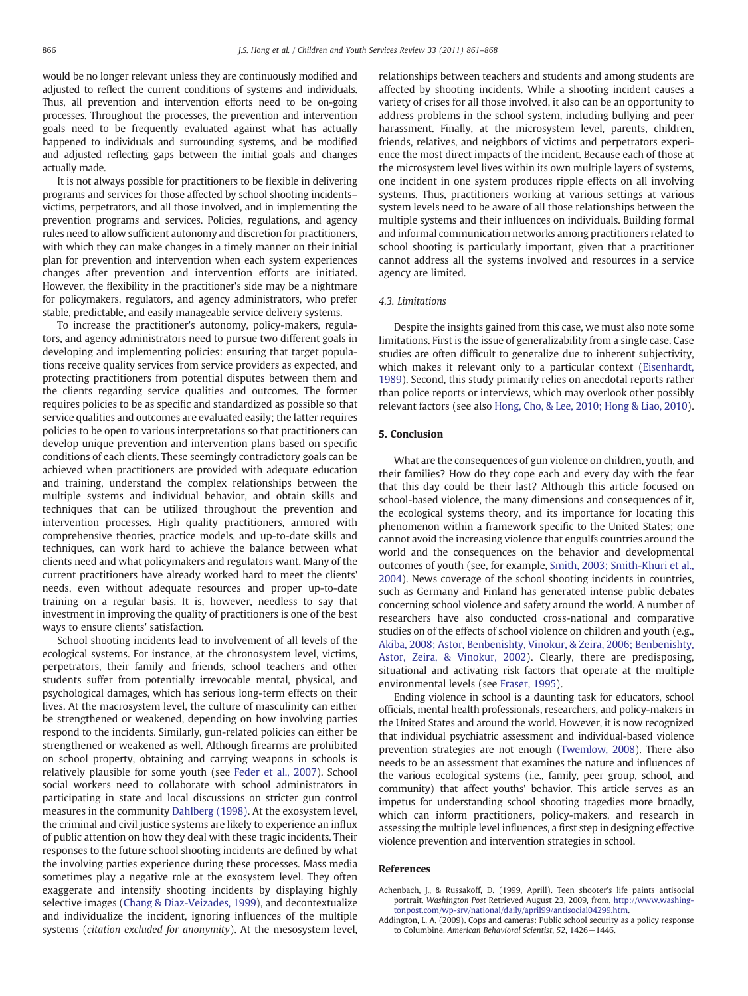would be no longer relevant unless they are continuously modified and adjusted to reflect the current conditions of systems and individuals. Thus, all prevention and intervention efforts need to be on-going processes. Throughout the processes, the prevention and intervention goals need to be frequently evaluated against what has actually happened to individuals and surrounding systems, and be modified and adjusted reflecting gaps between the initial goals and changes actually made.

It is not always possible for practitioners to be flexible in delivering programs and services for those affected by school shooting incidents– victims, perpetrators, and all those involved, and in implementing the prevention programs and services. Policies, regulations, and agency rules need to allow sufficient autonomy and discretion for practitioners, with which they can make changes in a timely manner on their initial plan for prevention and intervention when each system experiences changes after prevention and intervention efforts are initiated. However, the flexibility in the practitioner's side may be a nightmare for policymakers, regulators, and agency administrators, who prefer stable, predictable, and easily manageable service delivery systems.

To increase the practitioner's autonomy, policy-makers, regulators, and agency administrators need to pursue two different goals in developing and implementing policies: ensuring that target populations receive quality services from service providers as expected, and protecting practitioners from potential disputes between them and the clients regarding service qualities and outcomes. The former requires policies to be as specific and standardized as possible so that service qualities and outcomes are evaluated easily; the latter requires policies to be open to various interpretations so that practitioners can develop unique prevention and intervention plans based on specific conditions of each clients. These seemingly contradictory goals can be achieved when practitioners are provided with adequate education and training, understand the complex relationships between the multiple systems and individual behavior, and obtain skills and techniques that can be utilized throughout the prevention and intervention processes. High quality practitioners, armored with comprehensive theories, practice models, and up-to-date skills and techniques, can work hard to achieve the balance between what clients need and what policymakers and regulators want. Many of the current practitioners have already worked hard to meet the clients' needs, even without adequate resources and proper up-to-date training on a regular basis. It is, however, needless to say that investment in improving the quality of practitioners is one of the best ways to ensure clients' satisfaction.

<span id="page-5-0"></span>School shooting incidents lead to involvement of all levels of the ecological systems. For instance, at the chronosystem level, victims, perpetrators, their family and friends, school teachers and other students suffer from potentially irrevocable mental, physical, and psychological damages, which has serious long-term effects on their lives. At the macrosystem level, the culture of masculinity can either be strengthened or weakened, depending on how involving parties respond to the incidents. Similarly, gun-related policies can either be strengthened or weakened as well. Although firearms are prohibited on school property, obtaining and carrying weapons in schools is relatively plausible for some youth (see [Feder et al., 2007](#page-6-0)). School social workers need to collaborate with school administrators in participating in state and local discussions on stricter gun control measures in the community [Dahlberg \(1998\)](#page-6-0). At the exosystem level, the criminal and civil justice systems are likely to experience an influx of public attention on how they deal with these tragic incidents. Their responses to the future school shooting incidents are defined by what the involving parties experience during these processes. Mass media sometimes play a negative role at the exosystem level. They often exaggerate and intensify shooting incidents by displaying highly selective images ([Chang & Diaz-Veizades, 1999](#page-6-0)), and decontextualize and individualize the incident, ignoring influences of the multiple systems (citation excluded for anonymity). At the mesosystem level,

relationships between teachers and students and among students are affected by shooting incidents. While a shooting incident causes a variety of crises for all those involved, it also can be an opportunity to address problems in the school system, including bullying and peer harassment. Finally, at the microsystem level, parents, children, friends, relatives, and neighbors of victims and perpetrators experience the most direct impacts of the incident. Because each of those at the microsystem level lives within its own multiple layers of systems, one incident in one system produces ripple effects on all involving systems. Thus, practitioners working at various settings at various system levels need to be aware of all those relationships between the multiple systems and their influences on individuals. Building formal and informal communication networks among practitioners related to school shooting is particularly important, given that a practitioner cannot address all the systems involved and resources in a service agency are limited.

#### 4.3. Limitations

Despite the insights gained from this case, we must also note some limitations. First is the issue of generalizability from a single case. Case studies are often difficult to generalize due to inherent subjectivity, which makes it relevant only to a particular context [\(Eisenhardt,](#page-6-0) [1989\)](#page-6-0). Second, this study primarily relies on anecdotal reports rather than police reports or interviews, which may overlook other possibly relevant factors (see also [Hong, Cho, & Lee, 2010; Hong & Liao, 2010](#page-6-0)).

#### 5. Conclusion

What are the consequences of gun violence on children, youth, and their families? How do they cope each and every day with the fear that this day could be their last? Although this article focused on school-based violence, the many dimensions and consequences of it, the ecological systems theory, and its importance for locating this phenomenon within a framework specific to the United States; one cannot avoid the increasing violence that engulfs countries around the world and the consequences on the behavior and developmental outcomes of youth (see, for example, [Smith, 2003; Smith-Khuri et al.,](#page-7-0) [2004\)](#page-7-0). News coverage of the school shooting incidents in countries, such as Germany and Finland has generated intense public debates concerning school violence and safety around the world. A number of researchers have also conducted cross-national and comparative studies on of the effects of school violence on children and youth (e.g., [Akiba, 2008; Astor, Benbenishty, Vinokur, & Zeira, 2006; Benbenishty,](#page-6-0) [Astor, Zeira, & Vinokur, 2002](#page-6-0)). Clearly, there are predisposing, situational and activating risk factors that operate at the multiple environmental levels (see [Fraser, 1995\)](#page-6-0).

Ending violence in school is a daunting task for educators, school officials, mental health professionals, researchers, and policy-makers in the United States and around the world. However, it is now recognized that individual psychiatric assessment and individual-based violence prevention strategies are not enough ([Twemlow, 2008\)](#page-7-0). There also needs to be an assessment that examines the nature and influences of the various ecological systems (i.e., family, peer group, school, and community) that affect youths' behavior. This article serves as an impetus for understanding school shooting tragedies more broadly, which can inform practitioners, policy-makers, and research in assessing the multiple level influences, a first step in designing effective violence prevention and intervention strategies in school.

#### References

Achenbach, J., & Russakoff, D. (1999, Aprill). Teen shooter's life paints antisocial portrait. Washington Post Retrieved August 23, 2009, from. [http://www.washing](http://www.washingtonpost.com/wp-srv/national/daily/april99/antisocial04299.htm)[tonpost.com/wp-srv/national/daily/april99/antisocial04299.htm](http://www.washingtonpost.com/wp-srv/national/daily/april99/antisocial04299.htm).

Addington, L. A. (2009). Cops and cameras: Public school security as a policy response to Columbine. American Behavioral Scientist, 52, 1426−1446.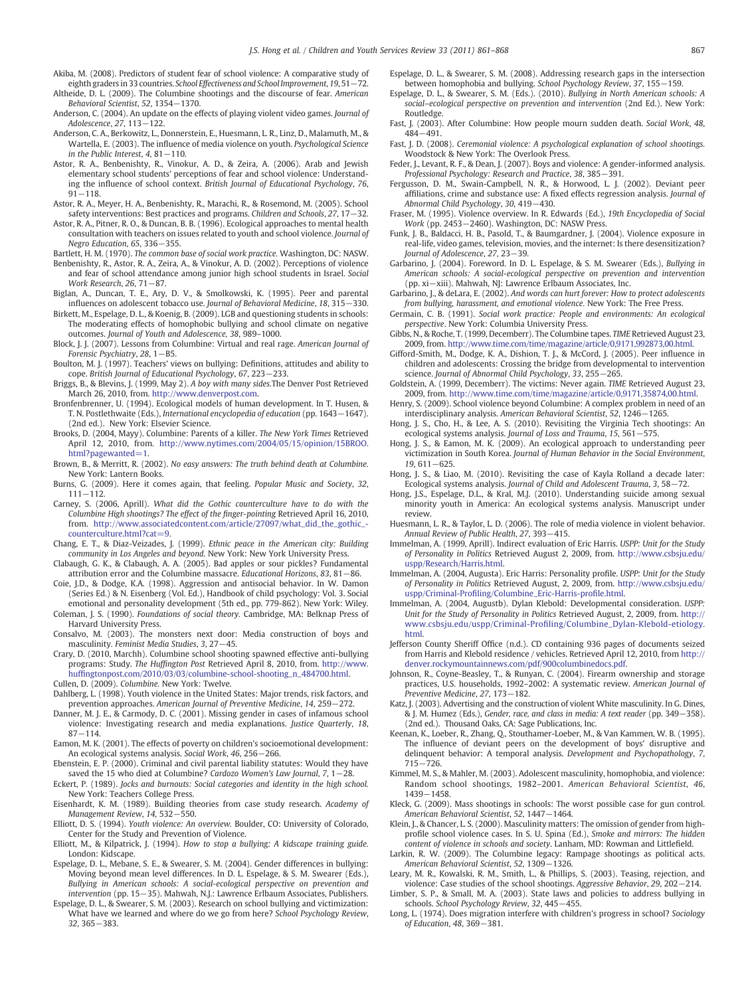- Akiba, M. (2008). Predictors of student fear of school violence: A comparative study of eighth graders in 33 countries. School Effectiveness and School Improvement, 19, 51−72.
- Altheide, D. L. (2009). The Columbine shootings and the discourse of fear. American Behavioral Scientist, 52, 1354−1370.
- Anderson, C. (2004). An update on the effects of playing violent video games. Journal of Adolescence, 27, 113−122.
- Anderson, C. A., Berkowitz, L., Donnerstein, E., Huesmann, L. R., Linz, D., Malamuth, M., & Wartella, E. (2003). The influence of media violence on youth. Psychological Science in the Public Interest, 4, 81–110.
- Astor, R. A., Benbenishty, R., Vinokur, A. D., & Zeira, A. (2006). Arab and Jewish elementary school students' perceptions of fear and school violence: Understanding the influence of school context. British Journal of Educational Psychology, 76, 91−118.
- Astor, R. A., Meyer, H. A., Benbenishty, R., Marachi, R., & Rosemond, M. (2005). School safety interventions: Best practices and programs. Children and Schools, 27, 17−32.
- Astor, R. A., Pitner, R. O., & Duncan, B. B. (1996). Ecological approaches to mental health consultation with teachers on issues related to youth and school violence. Journal of Negro Education, 65, 336–355.
- Bartlett, H. M. (1970). The common base of social work practice. Washington, DC: NASW.
- Benbenishty, R., Astor, R. A., Zeira, A., & Vinokur, A. D. (2002). Perceptions of violence and fear of school attendance among junior high school students in Israel. Social Work Research, 26, 71−87.
- Biglan, A., Duncan, T. E., Ary, D. V., & Smolkowski, K. (1995). Peer and parental influences on adolescent tobacco use. Journal of Behavioral Medicine, 18, 315−330.
- Birkett, M., Espelage, D. L., & Koenig, B. (2009). LGB and questioning students in schools: The moderating effects of homophobic bullying and school climate on negative outcomes. Journal of Youth and Adolescence, 38, 989–1000.
- Block, J. J. (2007). Lessons from Columbine: Virtual and real rage. American Journal of Forensic Psychiatry, 28, 1−B5.
- Boulton, M. J. (1997). Teachers' views on bullying: Definitions, attitudes and ability to cope. British Journal of Educational Psychology, 67, 223−233.
- Briggs, B., & Blevins, J. (1999, May 2). A boy with many sides.The Denver Post Retrieved March 26, 2010, from. [http://www.denverpost.com.](http://www.denverpost.com)
- Bronfenbrenner, U. (1994). Ecological models of human development. In T. Husen, & T. N. Postlethwaite (Eds.), International encyclopedia of education (pp. 1643−1647). (2nd ed.). New York: Elsevier Science.
- Brooks, D. (2004, Mayy). Columbine: Parents of a killer. The New York Times Retrieved April 12, 2010, from. [http://www.nytimes.com/2004/05/15/opinion/15BROO.](http://www.nytimes.com/2004/05/15/opinion/15BROO.html?pagewanted=1) html?pagewanted=1
- Brown, B., & Merritt, R. (2002). No easy answers: The truth behind death at Columbine. New York: Lantern Books.
- Burns, G. (2009). Here it comes again, that feeling. Popular Music and Society, 32, 111−112.
- Carney, S. (2006, Aprill). What did the Gothic counterculture have to do with the Columbine High shootings? The effect of the finger-pointing Retrieved April 16, 2010, from. [http://www.associatedcontent.com/article/27097/what\\_did\\_the\\_gothic\\_](http://www.associatedcontent.com/article/27097/what_did_the_gothic_counterculture.html?cat=9) [counterculture.html?cat=9.](http://www.associatedcontent.com/article/27097/what_did_the_gothic_counterculture.html?cat=9)
- Chang, E. T., & Diaz-Veizades, J. (1999). Ethnic peace in the American city: Building community in Los Angeles and beyond. New York: New York University Press.
- Clabaugh, G. K., & Clabaugh, A. A. (2005). Bad apples or sour pickles? Fundamental attribution error and the Columbine massacre. Educational Horizons, 83, 81−86.
- Coie, J.D., & Dodge, K.A. (1998). Aggression and antisocial behavior. In W. Damon (Series Ed.) & N. Eisenberg (Vol. Ed.), Handbook of child psychology: Vol. 3. Social emotional and personality development (5th ed., pp. 779-862). New York: Wiley.
- Coleman, J. S. (1990). Foundations of social theory. Cambridge, MA: Belknap Press of Harvard University Press.
- Consalvo, M. (2003). The monsters next door: Media construction of boys and masculinity. Feminist Media Studies, 3, 27−45.
- Crary, D. (2010, Marchh). Columbine school shooting spawned effective anti-bullying programs: Study. The Huffington Post Retrieved April 8, 2010, from. [http://www.](http://www.huffingtonpost.com/2010/03/03/columbine-school-shooting_n_484700.html) huffi[ngtonpost.com/2010/03/03/columbine-school-shooting\\_n\\_484700.html.](http://www.huffingtonpost.com/2010/03/03/columbine-school-shooting_n_484700.html) Cullen, D. (2009). Columbine. New York: Twelve.
- Dahlberg, L. (1998). Youth violence in the United States: Major trends, risk factors, and prevention approaches. American Journal of Preventive Medicine, 14, 259−272.
- Danner, M. J. E., & Carmody, D. C. (2001). Missing gender in cases of infamous school violence: Investigating research and media explanations. Justice Quarterly, 18, 87−114.
- Eamon, M. K. (2001). The effects of poverty on children's socioemotional development: An ecological systems analysis. Social Work, 46, 256−266.
- Ebenstein, E. P. (2000). Criminal and civil parental liability statutes: Would they have saved the 15 who died at Columbine? Cardozo Women's Law Journal, 7, 1−28.
- Eckert, P. (1989). Jocks and burnouts: Social categories and identity in the high school. New York: Teachers College Press.
- Eisenhardt, K. M. (1989). Building theories from case study research. Academy of Management Review, 14, 532−550.
- Elliott, D. S. (1994). Youth violence: An overview. Boulder, CO: University of Colorado, Center for the Study and Prevention of Violence.
- Elliott, M., & Kilpatrick, J. (1994). How to stop a bullying: A kidscape training guide. London: Kidscape.
- Espelage, D. L., Mebane, S. E., & Swearer, S. M. (2004). Gender differences in bullying: Moving beyond mean level differences. In D. L. Espelage, & S. M. Swearer (Eds.), Bullying in American schools: A social-ecological perspective on prevention and intervention (pp. 15−35). Mahwah, N.J.: Lawrence Erlbaum Associates, Publishers.
- <span id="page-6-0"></span>Espelage, D. L., & Swearer, S. M. (2003). Research on school bullying and victimization: What have we learned and where do we go from here? School Psychology Review, 32, 365−383.
- Espelage, D. L., & Swearer, S. M. (2008). Addressing research gaps in the intersection between homophobia and bullying. School Psychology Review, 37, 155−159.
- Espelage, D. L., & Swearer, S. M. (Eds.). (2010). Bullying in North American schools: A social–ecological perspective on prevention and intervention (2nd Ed.). New York: Routledge.
- Fast, J. (2003). After Columbine: How people mourn sudden death. Social Work, 48, 484−491.
- Fast, J. D. (2008). Ceremonial violence: A psychological explanation of school shootings. Woodstock & New York: The Overlook Press.
- Feder, J., Levant, R. F., & Dean, J. (2007). Boys and violence: A gender-informed analysis. Professional Psychology: Research and Practice, 38, 385−391.
- Fergusson, D. M., Swain-Campbell, N. R., & Horwood, L. J. (2002). Deviant peer affiliations, crime and substance use: A fixed effects regression analysis. Journal of Abnormal Child Psychology, 30, 419−430.
- Fraser, M. (1995). Violence overview. In R. Edwards (Ed.), 19th Encyclopedia of Social Work (pp. 2453−2460). Washington, DC: NASW Press.
- Funk, J. B., Baldacci, H. B., Pasold, T., & Baumgardner, J. (2004). Violence exposure in real-life, video games, television, movies, and the internet: Is there desensitization? Journal of Adolescence, 27, 23−39.
- Garbarino, J. (2004). Foreword. In D. L. Espelage, & S. M. Swearer (Eds.), Bullying in American schools: A social-ecological perspective on prevention and intervention (pp. xi−xiii). Mahwah, NJ: Lawrence Erlbaum Associates, Inc.
- Garbarino, J., & deLara, E. (2002). And words can hurt forever: How to protect adolescents from bullying, harassment, and emotional violence. New York: The Free Press.
- Germain, C. B. (1991). Social work practice: People and environments: An ecological perspective. New York: Columbia University Press.
- Gibbs, N., & Roche, T. (1999, Decemberr). The Columbine tapes. TIME Retrieved August 23, 2009, from. <http://www.time.com/time/magazine/article/0,9171,992873,00.html>.
- Gifford-Smith, M., Dodge, K. A., Dishion, T. J., & McCord, J. (2005). Peer influence in children and adolescents: Crossing the bridge from developmental to intervention science. Journal of Abnormal Child Psychology, 33, 255−265.
- Goldstein, A. (1999, Decemberr). The victims: Never again. TIME Retrieved August 23, 2009, from. [http://www.time.com/time/magazine/article/0,9171,35874,00.html.](http://www.time.com/time/magazine/article/0,9171,35874,00.html)
- Henry, S. (2009). School violence beyond Columbine: A complex problem in need of an interdisciplinary analysis. American Behavioral Scientist, 52, 1246−1265.
- Hong, J. S., Cho, H., & Lee, A. S. (2010). Revisiting the Virginia Tech shootings: An ecological systems analysis. Journal of Loss and Trauma, 15, 561−575.
- Hong, J. S., & Eamon, M. K. (2009). An ecological approach to understanding peer victimization in South Korea. Journal of Human Behavior in the Social Environment, 19, 611−625.
- Hong, J. S., & Liao, M. (2010). Revisiting the case of Kayla Rolland a decade later: Ecological systems analysis. Journal of Child and Adolescent Trauma, 3, 58−72.
- Hong, J.S., Espelage, D.L., & Kral, M.J. (2010). Understanding suicide among sexual minority youth in America: An ecological systems analysis. Manuscript under review.
- Huesmann, L. R., & Taylor, L. D. (2006). The role of media violence in violent behavior. Annual Review of Public Health, 27, 393−415.
- Immelman, A. (1999, Aprill). Indirect evaluation of Eric Harris. USPP: Unit for the Study of Personality in Politics Retrieved August 2, 2009, from. [http://www.csbsju.edu/](http://www.csbsju.edu/uspp/Research/Harris.html) [uspp/Research/Harris.html](http://www.csbsju.edu/uspp/Research/Harris.html).
- Immelman, A. (2004, Augusta). Eric Harris: Personality profile. USPP: Unit for the Study of Personality in Politics Retrieved August, 2, 2009, from. [http://www.csbsju.edu/](http://www.csbsju.edu/uspp/Criminal-Profiling/Columbine_Eric-Harris-profile.html) uspp/Criminal-Profi[ling/Columbine\\_Eric-Harris-pro](http://www.csbsju.edu/uspp/Criminal-Profiling/Columbine_Eric-Harris-profile.html)file.html.
- Immelman, A. (2004, Augustb). Dylan Klebold: Developmental consideration. USPP: Unit for the Study of Personality in Politics Retrieved August, 2, 2009, from. [http://](http://www.csbsju.edu/uspp/Criminal-Profiling/Columbine_Dylan-Klebold-etiology.html) www.csbsju.edu/uspp/Criminal-Profi[ling/Columbine\\_Dylan-Klebold-etiology.](http://www.csbsju.edu/uspp/Criminal-Profiling/Columbine_Dylan-Klebold-etiology.html) [html](http://www.csbsju.edu/uspp/Criminal-Profiling/Columbine_Dylan-Klebold-etiology.html).
- Jefferson County Sheriff Office (n.d.). CD containing 936 pages of documents seized from Harris and Klebold residence / vehicles. Retrieved April 12, 2010, from [http://](http://denver.rockymountainnews.com/pdf/900columbinedocs.pdf) [denver.rockymountainnews.com/pdf/900columbinedocs.pdf](http://denver.rockymountainnews.com/pdf/900columbinedocs.pdf).
- Johnson, R., Coyne-Beasley, T., & Runyan, C. (2004). Firearm ownership and storage practices, U.S. households, 1992–2002: A systematic review. American Journal of Preventive Medicine, 27, 173−182.
- Katz, J. (2003). Advertising and the construction of violent White masculinity. In G. Dines, & J. M. Humez (Eds.), Gender, race, and class in media: A text reader (pp. 349−358). (2nd ed.). Thousand Oaks, CA: Sage Publications, Inc.
- Keenan, K., Loeber, R., Zhang, Q., Stouthamer-Loeber, M., & Van Kammen, W. B. (1995). The influence of deviant peers on the development of boys' disruptive and delinquent behavior: A temporal analysis. Development and Psychopathology, 7, 715−726.
- Kimmel, M. S., & Mahler, M. (2003). Adolescent masculinity, homophobia, and violence: Random school shootings, 1982–2001. American Behavioral Scientist, 46, 1439−1458.
- Kleck, G. (2009). Mass shootings in schools: The worst possible case for gun control. American Behavioral Scientist, 52, 1447−1464.
- Klein, J., & Chancer, L. S. (2000). Masculinity matters: The omission of gender from highprofile school violence cases. In S. U. Spina (Ed.), Smoke and mirrors: The hidden content of violence in schools and society. Lanham, MD: Rowman and Littlefield.
- Larkin, R. W. (2009). The Columbine legacy: Rampage shootings as political acts. American Behavioral Scientist, 52, 1309−1326.
- Leary, M. R., Kowalski, R. M., Smith, L., & Phillips, S. (2003). Teasing, rejection, and violence: Case studies of the school shootings. Aggressive Behavior, 29, 202−214.
- Limber, S. P., & Small, M. A. (2003). State laws and policies to address bullying in schools. School Psychology Review, 32, 445−455.
- Long, L. (1974). Does migration interfere with children's progress in school? Sociology of Education, 48, 369−381.